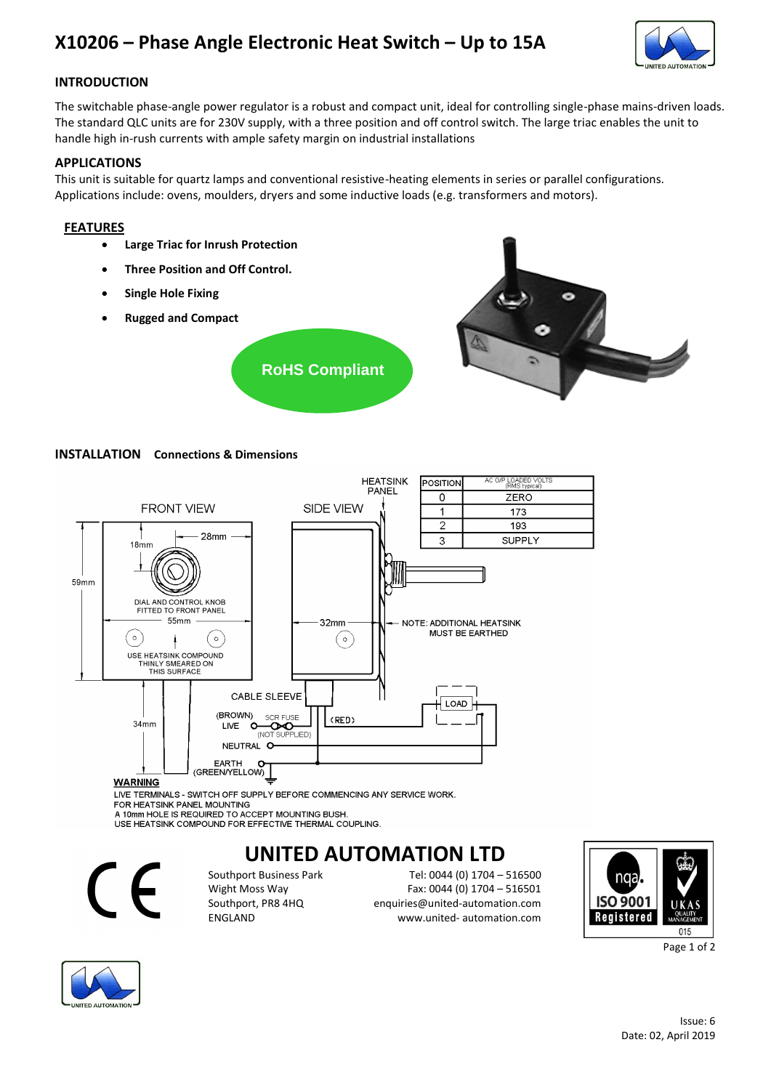# **X10206 – Phase Angle Electronic Heat Switch – Up to 15A**



# **INTRODUCTION**

The switchable phase-angle power regulator is a robust and compact unit, ideal for controlling single-phase mains-driven loads. The standard QLC units are for 230V supply, with a three position and off control switch. The large triac enables the unit to handle high in-rush currents with ample safety margin on industrial installations

## **APPLICATIONS**

This unit is suitable for quartz lamps and conventional resistive-heating elements in series or parallel configurations. Applications include: ovens, moulders, dryers and some inductive loads (e.g. transformers and motors).

## **FEATURES**

- **Large Triac for Inrush Protection**
- **Three Position and Off Control.**
- **Single Hole Fixing**
- **Rugged and Compact**



**RoHS Compliant**

## **INSTALLATION Connections & Dimensions**



**WARNING** 

LIVE TERMINALS - SWITCH OFF SUPPLY BEFORE COMMENCING ANY SERVICE WORK. FOR HEATSINK PANEL MOUNTING A 10mm HOLE IS REQUIRED TO ACCEPT MOUNTING BUSH.

USE HEATSINK COMPOUND FOR EFFECTIVE THERMAL COUPLING.

# **UNITED AUTOMATION LTD**



Southport Business Park Tel: 0044 (0) 1704 – 516500 Wight Moss Way Fax: 0044 (0) 1704 – 516501<br>Southport, PR8 4HQ enquiries@united-automation.com Southport, PR8 4HQ enquiries@united-automation.com www.united- automation.com